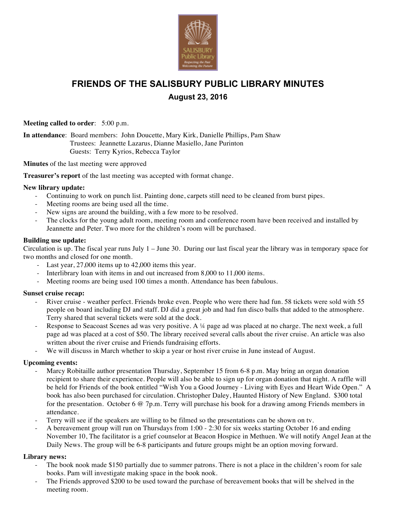

# **FRIENDS OF THE SALISBURY PUBLIC LIBRARY MINUTES August 23, 2016**

**Meeting called to order**: 5:00 p.m.

**In attendance**: Board members: John Doucette, Mary Kirk, Danielle Phillips, Pam Shaw Trustees: Jeannette Lazarus, Dianne Masiello, Jane Purinton Guests: Terry Kyrios, Rebecca Taylor

**Minutes** of the last meeting were approved

**Treasurer's report** of the last meeting was accepted with format change.

### **New library update:**

- Continuing to work on punch list. Painting done, carpets still need to be cleaned from burst pipes.
- Meeting rooms are being used all the time.
- New signs are around the building, with a few more to be resolved.
- The clocks for the young adult room, meeting room and conference room have been received and installed by Jeannette and Peter. Two more for the children's room will be purchased.

#### **Building use update:**

Circulation is up. The fiscal year runs July 1 – June 30. During our last fiscal year the library was in temporary space for two months and closed for one month.

- Last year, 27,000 items up to 42,000 items this year.
- Interlibrary loan with items in and out increased from 8,000 to 11,000 items.
- Meeting rooms are being used 100 times a month. Attendance has been fabulous.

### **Sunset cruise recap:**

- River cruise weather perfect. Friends broke even. People who were there had fun. 58 tickets were sold with 55 people on board including DJ and staff. DJ did a great job and had fun disco balls that added to the atmosphere. Terry shared that several tickets were sold at the dock.
- Response to Seacoast Scenes ad was very positive. A 14 page ad was placed at no charge. The next week, a full page ad was placed at a cost of \$50. The library received several calls about the river cruise. An article was also written about the river cruise and Friends fundraising efforts.
- We will discuss in March whether to skip a year or host river cruise in June instead of August.

### **Upcoming events:**

- Marcy Robitaille author presentation Thursday, September 15 from 6-8 p.m. May bring an organ donation recipient to share their experience. People will also be able to sign up for organ donation that night. A raffle will be held for Friends of the book entitled "Wish You a Good Journey - Living with Eyes and Heart Wide Open." A book has also been purchased for circulation. Christopher Daley, Haunted History of New England. \$300 total for the presentation. October 6 @ 7p.m. Terry will purchase his book for a drawing among Friends members in attendance.
- Terry will see if the speakers are willing to be filmed so the presentations can be shown on tv.
- A bereavement group will run on Thursdays from 1:00 2:30 for six weeks starting October 16 and ending November 10, The facilitator is a grief counselor at Beacon Hospice in Methuen. We will notify Angel Jean at the Daily News. The group will be 6-8 participants and future groups might be an option moving forward.

#### **Library news:**

- The book nook made \$150 partially due to summer patrons. There is not a place in the children's room for sale books. Pam will investigate making space in the book nook.
- The Friends approved \$200 to be used toward the purchase of bereavement books that will be shelved in the meeting room.